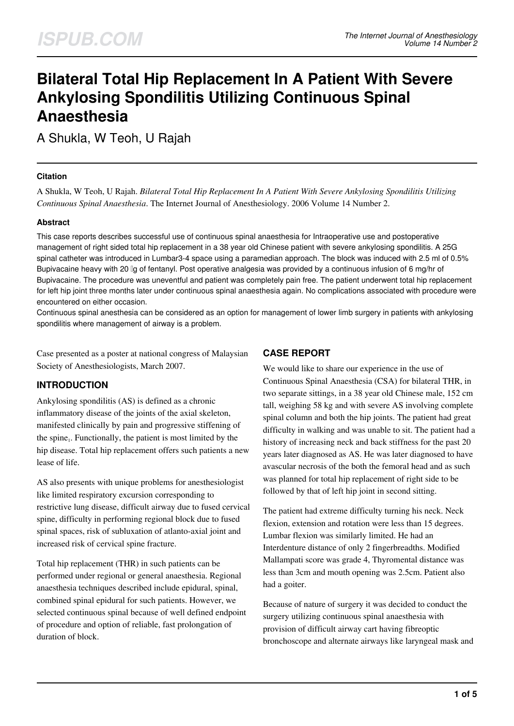# **Bilateral Total Hip Replacement In A Patient With Severe Ankylosing Spondilitis Utilizing Continuous Spinal Anaesthesia**

A Shukla, W Teoh, U Rajah

## **Citation**

A Shukla, W Teoh, U Rajah. *Bilateral Total Hip Replacement In A Patient With Severe Ankylosing Spondilitis Utilizing Continuous Spinal Anaesthesia*. The Internet Journal of Anesthesiology. 2006 Volume 14 Number 2.

## **Abstract**

This case reports describes successful use of continuous spinal anaesthesia for Intraoperative use and postoperative management of right sided total hip replacement in a 38 year old Chinese patient with severe ankylosing spondilitis. A 25G spinal catheter was introduced in Lumbar3-4 space using a paramedian approach. The block was induced with 2.5 ml of 0.5% Bupivacaine heavy with 20 μg of fentanyl. Post operative analgesia was provided by a continuous infusion of 6 mg/hr of Bupivacaine. The procedure was uneventful and patient was completely pain free. The patient underwent total hip replacement for left hip joint three months later under continuous spinal anaesthesia again. No complications associated with procedure were encountered on either occasion.

Continuous spinal anesthesia can be considered as an option for management of lower limb surgery in patients with ankylosing spondilitis where management of airway is a problem.

Case presented as a poster at national congress of Malaysian Society of Anesthesiologists, March 2007.

## **INTRODUCTION**

Ankylosing spondilitis (AS) is defined as a chronic inflammatory disease of the joints of the axial skeleton, manifested clinically by pain and progressive stiffening of the spine<sub>1</sub>. Functionally, the patient is most limited by the hip disease. Total hip replacement offers such patients a new lease of life.

AS also presents with unique problems for anesthesiologist like limited respiratory excursion corresponding to restrictive lung disease, difficult airway due to fused cervical spine, difficulty in performing regional block due to fused spinal spaces, risk of subluxation of atlanto-axial joint and increased risk of cervical spine fracture.

Total hip replacement (THR) in such patients can be performed under regional or general anaesthesia. Regional anaesthesia techniques described include epidural, spinal, combined spinal epidural for such patients. However, we selected continuous spinal because of well defined endpoint of procedure and option of reliable, fast prolongation of duration of block.

## **CASE REPORT**

We would like to share our experience in the use of Continuous Spinal Anaesthesia (CSA) for bilateral THR, in two separate sittings, in a 38 year old Chinese male, 152 cm tall, weighing 58 kg and with severe AS involving complete spinal column and both the hip joints. The patient had great difficulty in walking and was unable to sit. The patient had a history of increasing neck and back stiffness for the past 20 years later diagnosed as AS. He was later diagnosed to have avascular necrosis of the both the femoral head and as such was planned for total hip replacement of right side to be followed by that of left hip joint in second sitting.

The patient had extreme difficulty turning his neck. Neck flexion, extension and rotation were less than 15 degrees. Lumbar flexion was similarly limited. He had an Interdenture distance of only 2 fingerbreadths. Modified Mallampati score was grade 4, Thyromental distance was less than 3cm and mouth opening was 2.5cm. Patient also had a goiter.

Because of nature of surgery it was decided to conduct the surgery utilizing continuous spinal anaesthesia with provision of difficult airway cart having fibreoptic bronchoscope and alternate airways like laryngeal mask and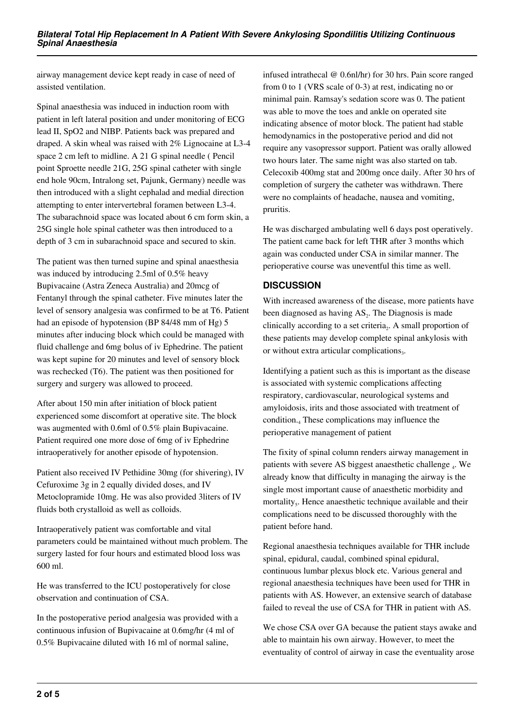airway management device kept ready in case of need of assisted ventilation.

Spinal anaesthesia was induced in induction room with patient in left lateral position and under monitoring of ECG lead II, SpO2 and NIBP. Patients back was prepared and draped. A skin wheal was raised with 2% Lignocaine at L3-4 space 2 cm left to midline. A 21 G spinal needle ( Pencil point Sproette needle 21G, 25G spinal catheter with single end hole 90cm, Intralong set, Pajunk, Germany) needle was then introduced with a slight cephalad and medial direction attempting to enter intervertebral foramen between L3-4. The subarachnoid space was located about 6 cm form skin, a 25G single hole spinal catheter was then introduced to a depth of 3 cm in subarachnoid space and secured to skin.

The patient was then turned supine and spinal anaesthesia was induced by introducing 2.5ml of 0.5% heavy Bupivacaine (Astra Zeneca Australia) and 20mcg of Fentanyl through the spinal catheter. Five minutes later the level of sensory analgesia was confirmed to be at T6. Patient had an episode of hypotension (BP 84/48 mm of Hg) 5 minutes after inducing block which could be managed with fluid challenge and 6mg bolus of iv Ephedrine. The patient was kept supine for 20 minutes and level of sensory block was rechecked (T6). The patient was then positioned for surgery and surgery was allowed to proceed.

After about 150 min after initiation of block patient experienced some discomfort at operative site. The block was augmented with 0.6ml of 0.5% plain Bupivacaine. Patient required one more dose of 6mg of iv Ephedrine intraoperatively for another episode of hypotension.

Patient also received IV Pethidine 30mg (for shivering), IV Cefuroxime 3g in 2 equally divided doses, and IV Metoclopramide 10mg. He was also provided 3liters of IV fluids both crystalloid as well as colloids.

Intraoperatively patient was comfortable and vital parameters could be maintained without much problem. The surgery lasted for four hours and estimated blood loss was 600 ml.

He was transferred to the ICU postoperatively for close observation and continuation of CSA.

In the postoperative period analgesia was provided with a continuous infusion of Bupivacaine at 0.6mg/hr (4 ml of 0.5% Bupivacaine diluted with 16 ml of normal saline,

infused intrathecal @ 0.6nl/hr) for 30 hrs. Pain score ranged from 0 to 1 (VRS scale of 0-3) at rest, indicating no or minimal pain. Ramsay's sedation score was 0. The patient was able to move the toes and ankle on operated site indicating absence of motor block. The patient had stable hemodynamics in the postoperative period and did not require any vasopressor support. Patient was orally allowed two hours later. The same night was also started on tab. Celecoxib 400mg stat and 200mg once daily. After 30 hrs of completion of surgery the catheter was withdrawn. There were no complaints of headache, nausea and vomiting, pruritis.

He was discharged ambulating well 6 days post operatively. The patient came back for left THR after 3 months which again was conducted under CSA in similar manner. The perioperative course was uneventful this time as well.

## **DISCUSSION**

With increased awareness of the disease, more patients have been diagnosed as having  $AS<sub>2</sub>$ . The Diagnosis is made clinically according to a set criteria $_2$ . A small proportion of these patients may develop complete spinal ankylosis with or without extra articular complications $_3$ .

Identifying a patient such as this is important as the disease is associated with systemic complications affecting respiratory, cardiovascular, neurological systems and amyloidosis, irits and those associated with treatment of condition.<sup>4</sup> These complications may influence the perioperative management of patient

The fixity of spinal column renders airway management in patients with severe AS biggest anaesthetic challenge 4. We already know that difficulty in managing the airway is the single most important cause of anaesthetic morbidity and mortality<sub>5</sub>. Hence anaesthetic technique available and their complications need to be discussed thoroughly with the patient before hand.

Regional anaesthesia techniques available for THR include spinal, epidural, caudal, combined spinal epidural, continuous lumbar plexus block etc. Various general and regional anaesthesia techniques have been used for THR in patients with AS. However, an extensive search of database failed to reveal the use of CSA for THR in patient with AS.

We chose CSA over GA because the patient stays awake and able to maintain his own airway. However, to meet the eventuality of control of airway in case the eventuality arose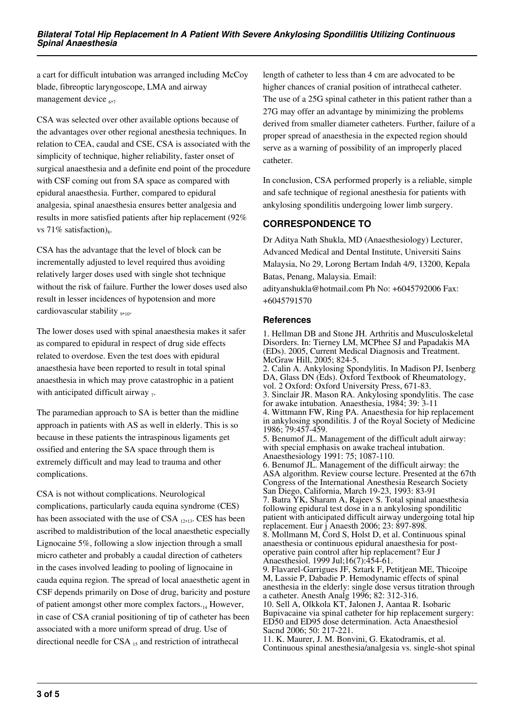a cart for difficult intubation was arranged including McCoy blade, fibreoptic laryngoscope, LMA and airway management device  $_{6,7}$ 

CSA was selected over other available options because of the advantages over other regional anesthesia techniques. In relation to CEA, caudal and CSE, CSA is associated with the simplicity of technique, higher reliability, faster onset of surgical anaesthesia and a definite end point of the procedure with CSF coming out from SA space as compared with epidural anaesthesia. Further, compared to epidural analgesia, spinal anaesthesia ensures better analgesia and results in more satisfied patients after hip replacement (92% vs 71% satisfaction) $_{8}$ .

CSA has the advantage that the level of block can be incrementally adjusted to level required thus avoiding relatively larger doses used with single shot technique without the risk of failure. Further the lower doses used also result in lesser incidences of hypotension and more cardiovascular stability  $_{9,10}$ .

The lower doses used with spinal anaesthesia makes it safer as compared to epidural in respect of drug side effects related to overdose. Even the test does with epidural anaesthesia have been reported to result in total spinal anaesthesia in which may prove catastrophic in a patient with anticipated difficult airway  $_7$ .

The paramedian approach to SA is better than the midline approach in patients with AS as well in elderly. This is so because in these patients the intraspinous ligaments get ossified and entering the SA space through them is extremely difficult and may lead to trauma and other complications.

CSA is not without complications. Neurological complications, particularly cauda equina syndrome (CES) has been associated with the use of CSA  $_{12,13}$ . CES has been ascribed to maldistribution of the local anaesthetic especially Lignocaine 5%, following a slow injection through a small micro catheter and probably a caudal direction of catheters in the cases involved leading to pooling of lignocaine in cauda equina region. The spread of local anaesthetic agent in CSF depends primarily on Dose of drug, baricity and posture of patient amongst other more complex factors. $_{14}$  However, in case of CSA cranial positioning of tip of catheter has been associated with a more uniform spread of drug. Use of directional needle for  $CSA_{15}$  and restriction of intrathecal

length of catheter to less than 4 cm are advocated to be higher chances of cranial position of intrathecal catheter. The use of a 25G spinal catheter in this patient rather than a 27G may offer an advantage by minimizing the problems derived from smaller diameter catheters. Further, failure of a proper spread of anaesthesia in the expected region should serve as a warning of possibility of an improperly placed catheter.

In conclusion, CSA performed properly is a reliable, simple and safe technique of regional anesthesia for patients with ankylosing spondilitis undergoing lower limb surgery.

## **CORRESPONDENCE TO**

Dr Aditya Nath Shukla, MD (Anaesthesiology) Lecturer, Advanced Medical and Dental Institute, Universiti Sains Malaysia, No 29, Lorong Bertam Indah 4/9, 13200, Kepala Batas, Penang, Malaysia. Email: adityanshukla@hotmail.com Ph No: +6045792006 Fax: +6045791570

## **References**

1. Hellman DB and Stone JH. Arthritis and Musculoskeletal Disorders. In: Tierney LM, MCPhee SJ and Papadakis MA (EDs). 2005, Current Medical Diagnosis and Treatment. McGraw Hill, 2005; 824-5. 2. Calin A. Ankylosing Spondylitis. In Madison PJ, Isenberg DA, Glass DN (Eds). Oxford Textbook of Rheumatology, vol. 2 Oxford: Oxford University Press, 671-83. 3. Sinclair JR. Mason RA. Ankylosing spondylitis. The case for awake intubation. Anaesthesia, 1984; 39: 3-11 4. Wittmann FW, Ring PA. Anaesthesia for hip replacement in ankylosing spondilitis. J of the Royal Society of Medicine 1986; 79:457-459. 5. Benumof JL. Management of the difficult adult airway: with special emphasis on awake tracheal intubation. Anaesthesiology 1991: 75; 1087-110. 6. Benumof JL. Management of the difficult airway: the ASA algorithm. Review course lecture. Presented at the 67th Congress of the International Anesthesia Research Society San Diego, California, March 19-23, 1993: 83-91 7. Batra YK, Sharam A, Rajeev S. Total spinal anaesthesia following epidural test dose in a n ankylosing spondilitic patient with anticipated difficult airway undergoing total hip replacement. Eur j Anaesth 2006; 23: 897-898. 8. Mollmann M, Cord S, Holst D, et al. Continuous spinal anaesthesia or continuous epidural anaesthesia for postoperative pain control after hip replacement? Eur J Anaesthesiol. 1999 Jul;16(7):454-61. 9. Flavarel-Garrigues JF, Sztark F, Petitjean ME, Thicoipe M, Lassie P, Dabadie P. Hemodynamic effects of spinal anesthesia in the elderly: single dose versus titration through a catheter. Anesth Analg 1996; 82: 312-316. 10. Sell A, Olkkola KT, Jalonen J, Aantaa R. Isobaric Bupivacaine via spinal catheter for hip replacement surgery: ED50 and ED95 dose determination. Acta Anaesthesiol Sacnd 2006; 50: 217-221. 11. K. Maurer, J. M. Bonvini, G. Ekatodramis, et al. Continuous spinal anesthesia/analgesia vs. single-shot spinal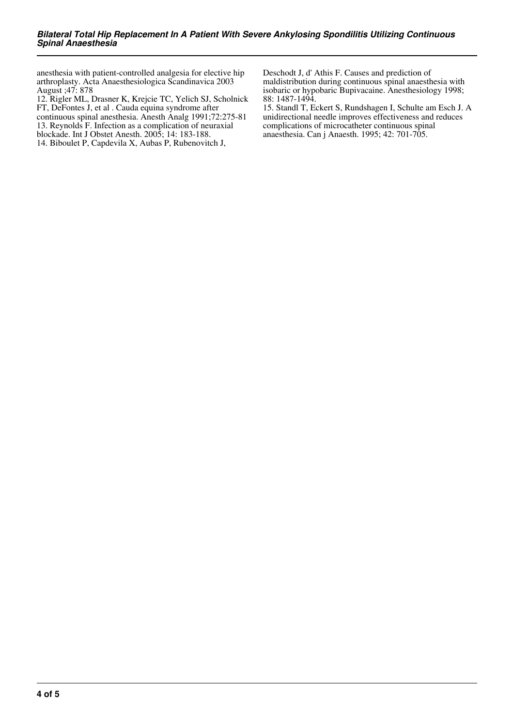anesthesia with patient-controlled analgesia for elective hip arthroplasty. Acta Anaesthesiologica Scandinavica 2003 August ;47: 878

12. Rigler ML, Drasner K, Krejcie TC, Yelich SJ, Scholnick FT, DeFontes J, et al . Cauda equina syndrome after

continuous spinal anesthesia. Anesth Analg 1991;72:275-81

13. Reynolds F. Infection as a complication of neuraxial blockade. Int J Obstet Anesth. 2005; 14: 183-188.

14. Biboulet P, Capdevila X, Aubas P, Rubenovitch J,

Deschodt J, d' Athis F. Causes and prediction of maldistribution during continuous spinal anaesthesia with isobaric or hypobaric Bupivacaine. Anesthesiology 1998; 88: 1487-1494.

15. Standl T, Eckert S, Rundshagen I, Schulte am Esch J. A unidirectional needle improves effectiveness and reduces complications of microcatheter continuous spinal anaesthesia. Can j Anaesth. 1995; 42: 701-705.